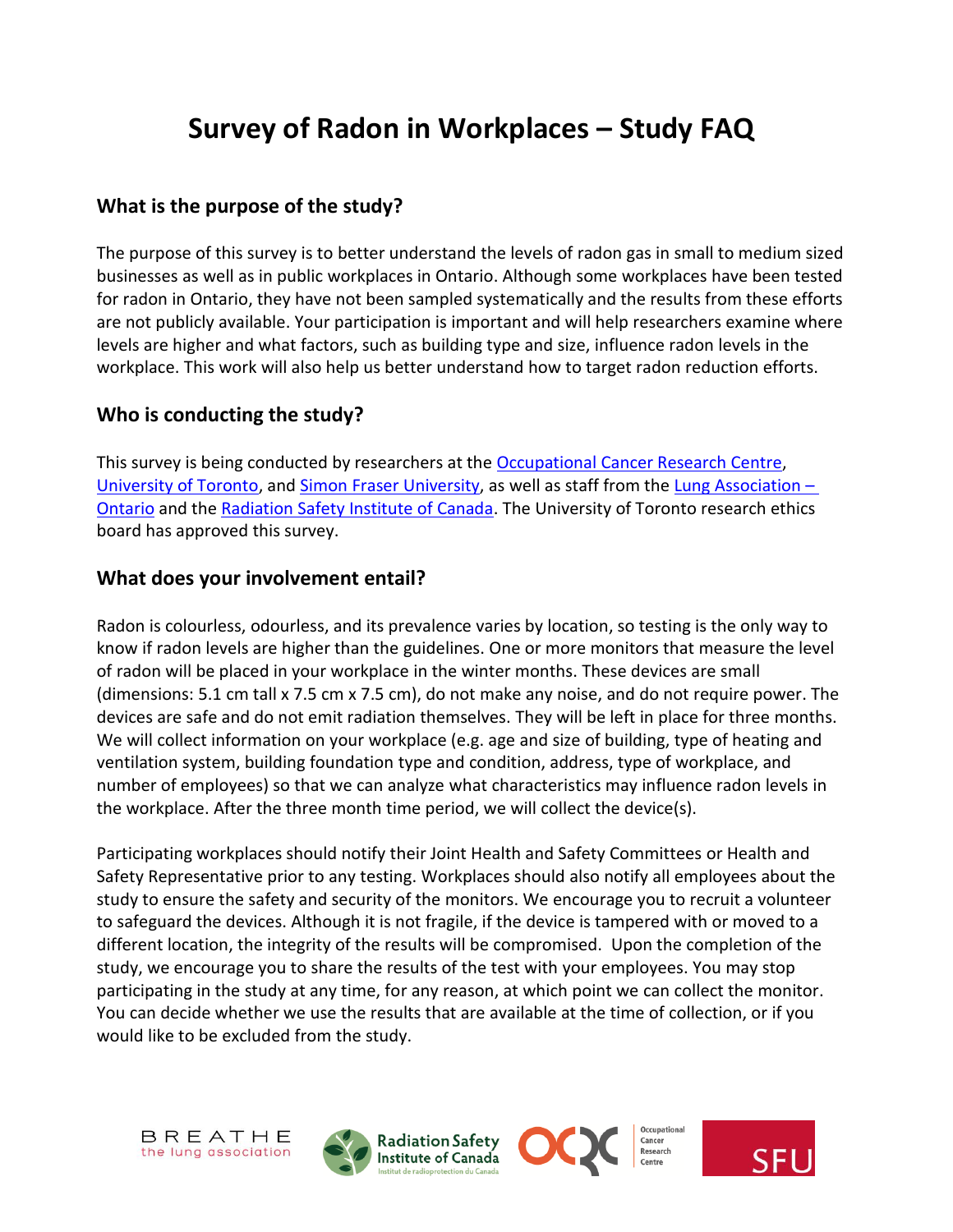# **Survey of Radon in Workplaces – Study FAQ**

#### **What is the purpose of the study?**

The purpose of this survey is to better understand the levels of radon gas in small to medium sized businesses as well as in public workplaces in Ontario. Although some workplaces have been tested for radon in Ontario, they have not been sampled systematically and the results from these efforts are not publicly available. Your participation is important and will help researchers examine where levels are higher and what factors, such as building type and size, influence radon levels in the workplace. This work will also help us better understand how to target radon reduction efforts.

#### **Who is conducting the study?**

This survey is being conducted by researchers at the [Occupational Cancer Research Centre,](http://www.occupationalcancer.ca/) [University of Toronto,](http://www.dlsph.utoronto.ca/) and [Simon](https://www.carexcanada.ca/en/) Fraser University, as well as staff from the [Lung Association](http://lungontario.ca/) – [Ontario](http://lungontario.ca/) and the [Radiation Safety Institute of Canada.](https://radiationsafety.ca/) The University of Toronto research ethics board has approved this survey.

#### **What does your involvement entail?**

Radon is colourless, odourless, and its prevalence varies by location, so testing is the only way to know if radon levels are higher than the guidelines. One or more monitors that measure the level of radon will be placed in your workplace in the winter months. These devices are small (dimensions: 5.1 cm tall x 7.5 cm x 7.5 cm), do not make any noise, and do not require power. The devices are safe and do not emit radiation themselves. They will be left in place for three months. We will collect information on your workplace (e.g. age and size of building, type of heating and ventilation system, building foundation type and condition, address, type of workplace, and number of employees) so that we can analyze what characteristics may influence radon levels in the workplace. After the three month time period, we will collect the device(s).

Participating workplaces should notify their Joint Health and Safety Committees or Health and Safety Representative prior to any testing. Workplaces should also notify all employees about the study to ensure the safety and security of the monitors. We encourage you to recruit a volunteer to safeguard the devices. Although it is not fragile, if the device is tampered with or moved to a different location, the integrity of the results will be compromised. Upon the completion of the study, we encourage you to share the results of the test with your employees. You may stop participating in the study at any time, for any reason, at which point we can collect the monitor. You can decide whether we use the results that are available at the time of collection, or if you would like to be excluded from the study.